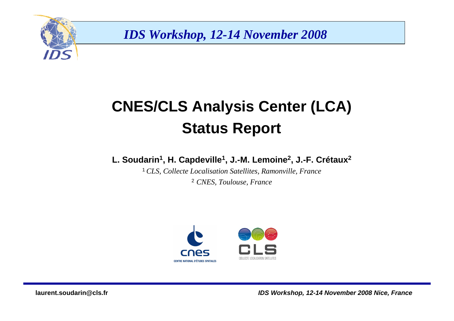

# **CNES/CLS Analysis Center (LCA)Status Report**

#### **L. Soudarin<sup>1</sup>, H. Capdeville<sup>1</sup>, J.-M. Lemoine<sup>2</sup>, J.-F. Crétaux<sup>2</sup>**

<sup>1</sup>*CLS, Collecte Localisation Satellites, Ramonville, France*2 *CNES, Toulouse, France*

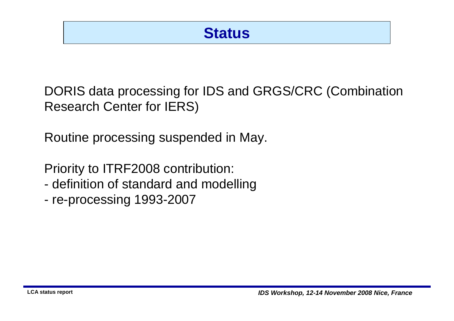### **Status**

DORIS data processing for IDS and GRGS/CRC (CombinationResearch Center for IERS)

Routine processing suspended in May.

Priority to ITRF2008 contribution:

- definition of standard and modelling
- re-processing 1993-2007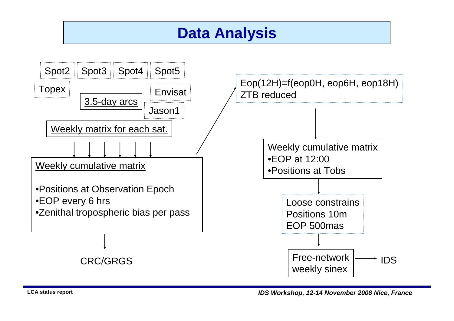### **Data Analysis**



**LCA status report**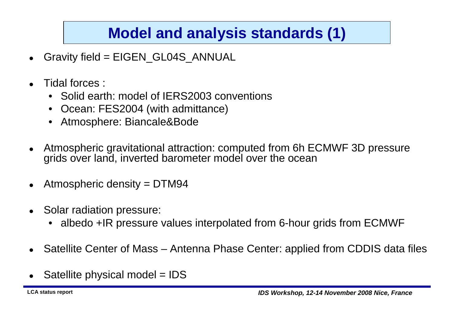# **Model and analysis standards (1)**

- $\bullet$ Gravity field = EIGEN\_GL04S\_ANNUAL
- $\bullet$  Tidal forces :
	- Solid earth: model of IERS2003 conventions
	- •Ocean: FES2004 (with admittance)
	- •Atmosphere: Biancale&Bode
- $\bullet$  Atmospheric gravitational attraction: computed from 6h ECMWF 3D pressure grids over land, inverted barometer model over the ocean
- $\bullet$ Atmospheric density = DTM94
- $\bullet$  Solar radiation pressure:
	- •albedo +IR pressure values interpolated from 6-hour grids from ECMWF
- Satellite Center of Mass Antenna Phase Center: applied from CDDIS data files
- $\bullet$ Satellite physical model = IDS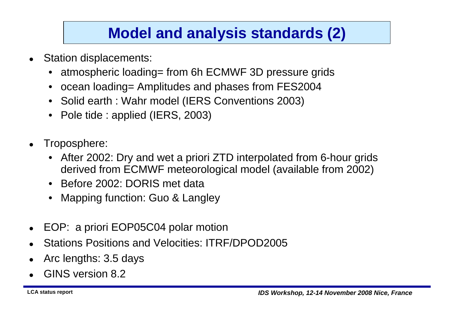## **Model and analysis standards (2)**

- $\bullet$  Station displacements:
	- •atmospheric loading= from 6h ECMWF 3D pressure grids
	- •ocean loading= Amplitudes and phases from FES2004
	- •Solid earth : Wahr model (IERS Conventions 2003)
	- •Pole tide : applied (IERS, 2003)
- $\bullet$  Troposphere:
	- $\bullet$  After 2002: Dry and wet a priori ZTD interpolated from 6-hour gridsderived from ECMWF meteorological model (available from 2002)
	- •Before 2002: DORIS met data
	- Mapping function: Guo & Langley•
- $\bullet$ EOP: a priori EOP05C04 polar motion
- $\bullet$ Stations Positions and Velocities: ITRF/DPOD2005
- $\bullet$ Arc lengths: 3.5 days
- 0 GINS version 8.2

**LCA status report**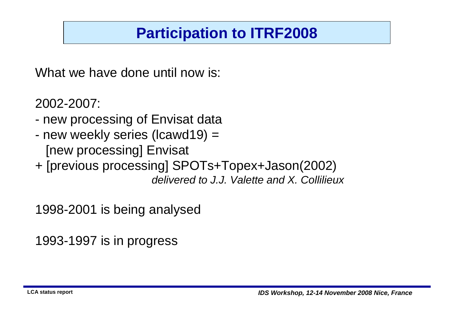# **Participation to ITRF2008**

What we have done until now is:

2002-2007:

- new processing of Envisat data
- naw waakly sarias (Icawd10) new weekly series (lcawd19) = [new processing] Envisat
- + [previous processing] SPOTs+Topex+Jason(2002) delivered to J.J. Valette and X. Collilieux

1998-2001 is being analysed

1993-1997 is in progress

**LCA status report**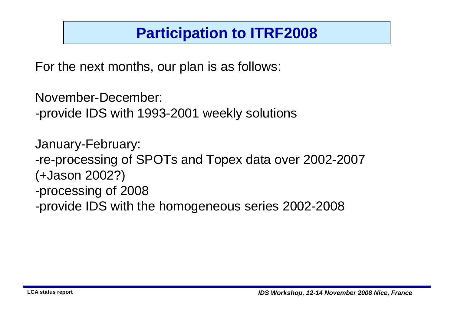## **Participation to ITRF2008**

For the next months, our plan is as follows:

November-December:

-provide IDS with 1993-2001 weekly solutions

January-February:-re-processing of SPOTs and Topex data over 2002-2007 (+Jason 2002?)-processing of 2008

-provide IDS with the homogeneous series 2002-2008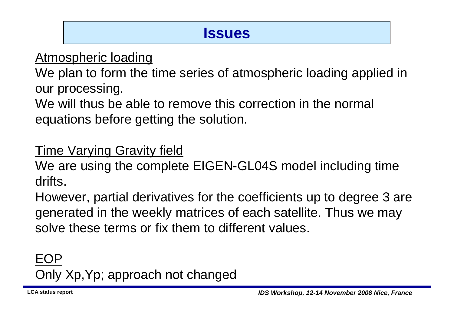### **Issues**

#### Atmospheric loading

 We plan to form the time series of atmospheric loading applied in our processing.

We will thus be able to remove this correction in the normal equations before getting the solution.

### Time Varying Gravity field

 We are using the complete EIGEN-GL04S model including timedrifts.

However, partial derivatives for the coefficients up to degree 3 are generated in the weekly matrices of each satellite. Thus we may solve these terms or fix them to different values.

EOPOnly Xp,Yp; approach not changed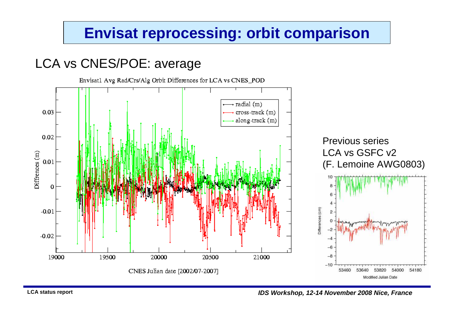### **Envisat reprocessing: orbit comparison**

#### LCA vs CNES/POE: average

Envisatl Avg Rad/Crs/Alg Orbit Differences for LCA vs CNES\_POD radial (m)  $0.03$ cross-track (m) along-track (m) 0.02 Previous series LCA vs GSFC v2 Diffrences (m)  $0.01$ (F. Lemoine AWG0803) $\mathbf 0$ Differences (cm)  $-0.01$  $-0.02$ 19000 19500 20000 20500 21000  $-8$  $-10$ CNES Julian date [2002/07-2007] 53460 53640 53820 54000 54180 Modified Julian Date

**IDS Workshop, 12-14 November 2008 Nice, France**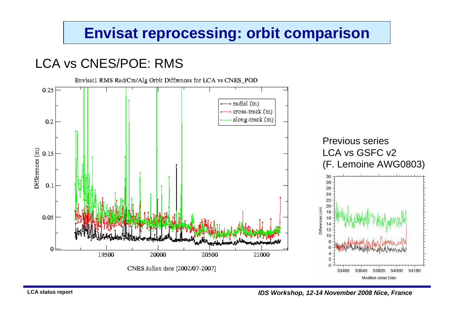### **Envisat reprocessing: orbit comparison**

### LCA vs CNES/POE: RMS



**IDS Workshop, 12-14 November 2008 Nice, France**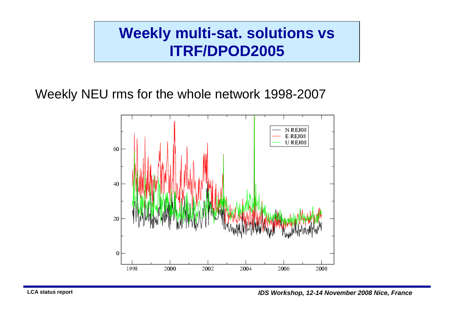### **Weekly multi-sat. solutions vs ITRF/DPOD2005**

Weekly NEU rms for the whole network 1998-2007

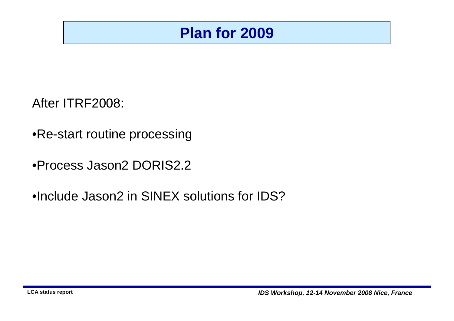### **Plan for 2009**

After ITRF2008:

- •Re-start routine processing
- •Process Jason2 DORIS2.2
- •Include Jason2 in SINEX solutions for IDS?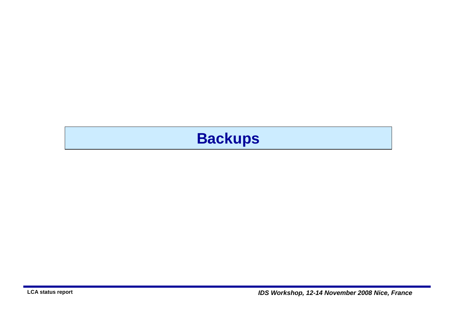# **Backups**